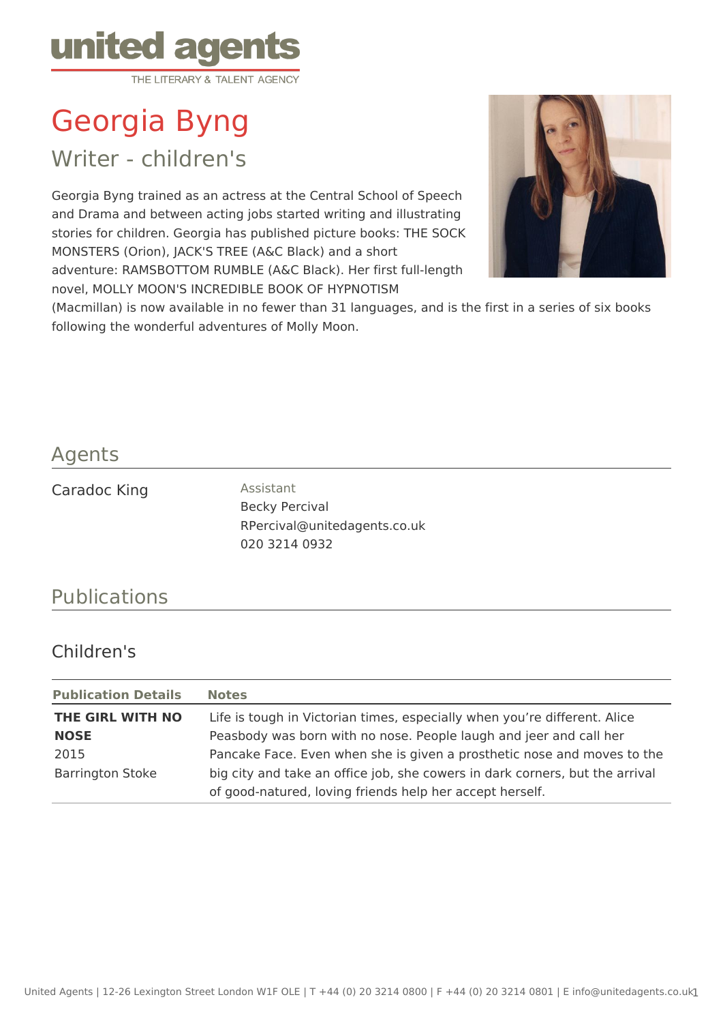

Georgia Byng

Writer - children's

Georgia Byng trained as an actress at the Central School of Speech and Drama and between acting jobs started writing and illustrating stories for children. Georgia has published picture books: THE SOCK MONSTERS (Orion), JACK'S TREE (A&C Black) and a short adventure: RAMSBOTTOM RUMBLE (A&C Black). Her first full-length novel, MOLLY MOON'S INCREDIBLE BOOK OF HYPNOTISM



(Macmillan) is now available in no fewer than 31 languages, and is the first in a series of six books following the wonderful adventures of Molly Moon.

## Agents

Caradoc King **Assistant** 

Becky Percival RPercival@unitedagents.co.uk 020 3214 0932

## Publications

## Children's

| <b>Publication Details</b> | <b>Notes</b>                                                                 |
|----------------------------|------------------------------------------------------------------------------|
| THE GIRL WITH NO           | Life is tough in Victorian times, especially when you're different. Alice    |
| <b>NOSE</b>                | Peasbody was born with no nose. People laugh and jeer and call her           |
| 2015                       | Pancake Face. Even when she is given a prosthetic nose and moves to the      |
| <b>Barrington Stoke</b>    | big city and take an office job, she cowers in dark corners, but the arrival |
|                            | of good-natured, loving friends help her accept herself.                     |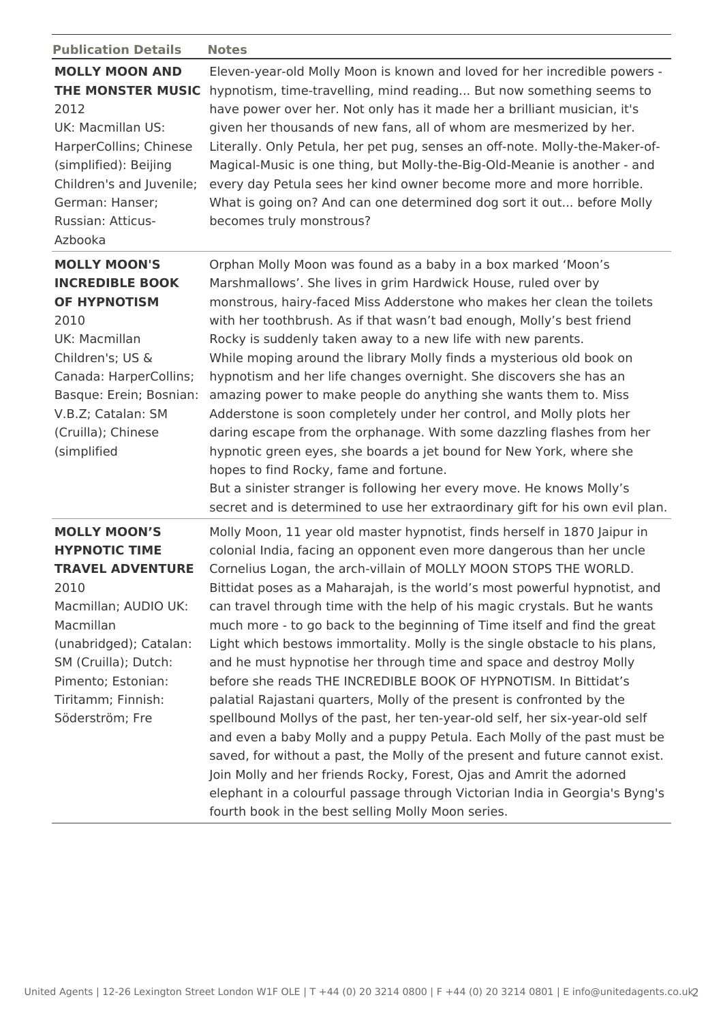| <b>Publication Details</b>                                                                                                                                                                                                           | <b>Notes</b>                                                                                                                                                                                                                                                                                                                                                                                                                                                                                                                                                                                                                                                                                                                                                                                                                                                                                                                                                                                                                                                                                                                                                                                                              |
|--------------------------------------------------------------------------------------------------------------------------------------------------------------------------------------------------------------------------------------|---------------------------------------------------------------------------------------------------------------------------------------------------------------------------------------------------------------------------------------------------------------------------------------------------------------------------------------------------------------------------------------------------------------------------------------------------------------------------------------------------------------------------------------------------------------------------------------------------------------------------------------------------------------------------------------------------------------------------------------------------------------------------------------------------------------------------------------------------------------------------------------------------------------------------------------------------------------------------------------------------------------------------------------------------------------------------------------------------------------------------------------------------------------------------------------------------------------------------|
| <b>MOLLY MOON AND</b><br>THE MONSTER MUSIC<br>2012<br>UK: Macmillan US:<br>HarperCollins; Chinese<br>(simplified): Beijing<br>Children's and Juvenile;<br>German: Hanser;<br>Russian: Atticus-<br>Azbooka                            | Eleven-year-old Molly Moon is known and loved for her incredible powers -<br>hypnotism, time-travelling, mind reading But now something seems to<br>have power over her. Not only has it made her a brilliant musician, it's<br>given her thousands of new fans, all of whom are mesmerized by her.<br>Literally. Only Petula, her pet pug, senses an off-note. Molly-the-Maker-of-<br>Magical-Music is one thing, but Molly-the-Big-Old-Meanie is another - and<br>every day Petula sees her kind owner become more and more horrible.<br>What is going on? And can one determined dog sort it out before Molly<br>becomes truly monstrous?                                                                                                                                                                                                                                                                                                                                                                                                                                                                                                                                                                              |
| <b>MOLLY MOON'S</b><br><b>INCREDIBLE BOOK</b><br><b>OF HYPNOTISM</b><br>2010<br>UK: Macmillan<br>Children's; US &<br>Canada: HarperCollins;<br>Basque: Erein; Bosnian:<br>V.B.Z; Catalan: SM<br>(Cruilla); Chinese<br>(simplified    | Orphan Molly Moon was found as a baby in a box marked 'Moon's<br>Marshmallows'. She lives in grim Hardwick House, ruled over by<br>monstrous, hairy-faced Miss Adderstone who makes her clean the toilets<br>with her toothbrush. As if that wasn't bad enough, Molly's best friend<br>Rocky is suddenly taken away to a new life with new parents.<br>While moping around the library Molly finds a mysterious old book on<br>hypnotism and her life changes overnight. She discovers she has an<br>amazing power to make people do anything she wants them to. Miss<br>Adderstone is soon completely under her control, and Molly plots her<br>daring escape from the orphanage. With some dazzling flashes from her<br>hypnotic green eyes, she boards a jet bound for New York, where she<br>hopes to find Rocky, fame and fortune.<br>But a sinister stranger is following her every move. He knows Molly's<br>secret and is determined to use her extraordinary gift for his own evil plan.                                                                                                                                                                                                                         |
| <b>MOLLY MOON'S</b><br><b>HYPNOTIC TIME</b><br><b>TRAVEL ADVENTURE</b><br>2010<br>Macmillan; AUDIO UK:<br>Macmillan<br>(unabridged); Catalan:<br>SM (Cruilla); Dutch:<br>Pimento; Estonian:<br>Tiritamm; Finnish:<br>Söderström; Fre | Molly Moon, 11 year old master hypnotist, finds herself in 1870 Jaipur in<br>colonial India, facing an opponent even more dangerous than her uncle<br>Cornelius Logan, the arch-villain of MOLLY MOON STOPS THE WORLD.<br>Bittidat poses as a Maharajah, is the world's most powerful hypnotist, and<br>can travel through time with the help of his magic crystals. But he wants<br>much more - to go back to the beginning of Time itself and find the great<br>Light which bestows immortality. Molly is the single obstacle to his plans,<br>and he must hypnotise her through time and space and destroy Molly<br>before she reads THE INCREDIBLE BOOK OF HYPNOTISM. In Bittidat's<br>palatial Rajastani quarters, Molly of the present is confronted by the<br>spellbound Mollys of the past, her ten-year-old self, her six-year-old self<br>and even a baby Molly and a puppy Petula. Each Molly of the past must be<br>saved, for without a past, the Molly of the present and future cannot exist.<br>Join Molly and her friends Rocky, Forest, Ojas and Amrit the adorned<br>elephant in a colourful passage through Victorian India in Georgia's Byng's<br>fourth book in the best selling Molly Moon series. |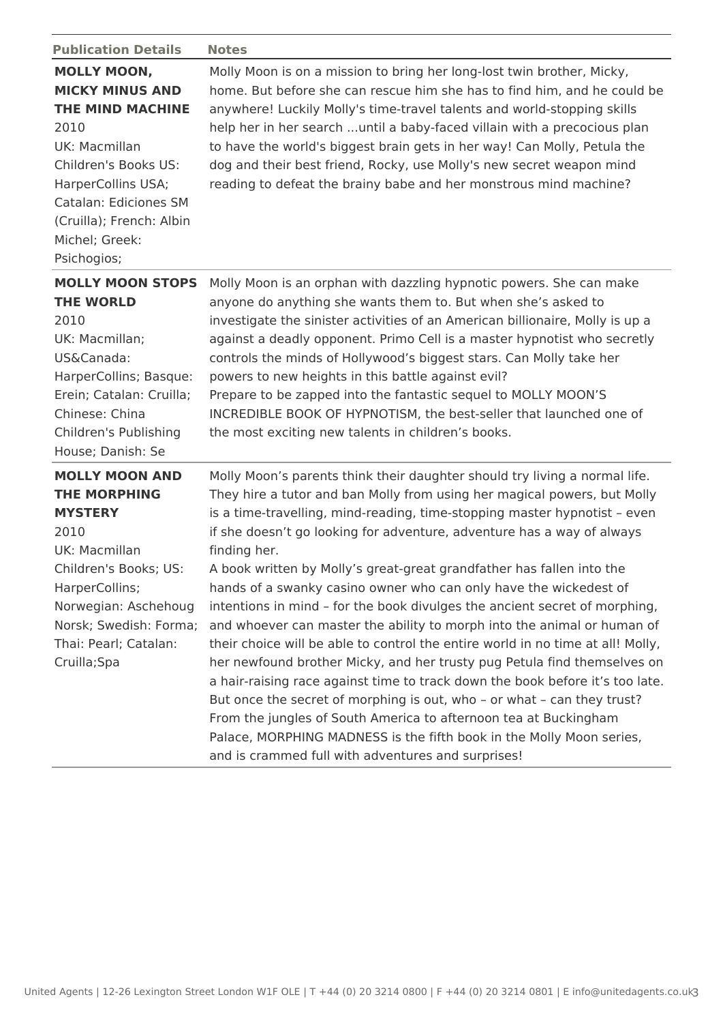| <b>Publication Details</b>                                                                                                                                                                                                           | <b>Notes</b>                                                                                                                                                                                                                                                                                                                                                                                                                                                                                                                                                                                                                                                                                                                                                                                                                                                                                                                                                                                                                                                                                                                                                      |
|--------------------------------------------------------------------------------------------------------------------------------------------------------------------------------------------------------------------------------------|-------------------------------------------------------------------------------------------------------------------------------------------------------------------------------------------------------------------------------------------------------------------------------------------------------------------------------------------------------------------------------------------------------------------------------------------------------------------------------------------------------------------------------------------------------------------------------------------------------------------------------------------------------------------------------------------------------------------------------------------------------------------------------------------------------------------------------------------------------------------------------------------------------------------------------------------------------------------------------------------------------------------------------------------------------------------------------------------------------------------------------------------------------------------|
| <b>MOLLY MOON,</b><br><b>MICKY MINUS AND</b><br><b>THE MIND MACHINE</b><br>2010<br>UK: Macmillan<br>Children's Books US:<br>HarperCollins USA;<br>Catalan: Ediciones SM<br>(Cruilla); French: Albin<br>Michel; Greek:<br>Psichogios; | Molly Moon is on a mission to bring her long-lost twin brother, Micky,<br>home. But before she can rescue him she has to find him, and he could be<br>anywhere! Luckily Molly's time-travel talents and world-stopping skills<br>help her in her search  until a baby-faced villain with a precocious plan<br>to have the world's biggest brain gets in her way! Can Molly, Petula the<br>dog and their best friend, Rocky, use Molly's new secret weapon mind<br>reading to defeat the brainy babe and her monstrous mind machine?                                                                                                                                                                                                                                                                                                                                                                                                                                                                                                                                                                                                                               |
| <b>MOLLY MOON STOPS</b><br><b>THE WORLD</b><br>2010<br>UK: Macmillan;<br>US&Canada:<br>HarperCollins; Basque:<br>Erein; Catalan: Cruilla;<br>Chinese: China<br>Children's Publishing<br>House; Danish: Se                            | Molly Moon is an orphan with dazzling hypnotic powers. She can make<br>anyone do anything she wants them to. But when she's asked to<br>investigate the sinister activities of an American billionaire, Molly is up a<br>against a deadly opponent. Primo Cell is a master hypnotist who secretly<br>controls the minds of Hollywood's biggest stars. Can Molly take her<br>powers to new heights in this battle against evil?<br>Prepare to be zapped into the fantastic sequel to MOLLY MOON'S<br>INCREDIBLE BOOK OF HYPNOTISM, the best-seller that launched one of<br>the most exciting new talents in children's books.                                                                                                                                                                                                                                                                                                                                                                                                                                                                                                                                      |
| <b>MOLLY MOON AND</b><br><b>THE MORPHING</b><br><b>MYSTERY</b><br>2010<br>UK: Macmillan<br>Children's Books; US:<br>HarperCollins;<br>Norwegian: Aschehoug<br>Norsk; Swedish: Forma;<br>Thai: Pearl; Catalan:<br>Cruilla;Spa         | Molly Moon's parents think their daughter should try living a normal life.<br>They hire a tutor and ban Molly from using her magical powers, but Molly<br>is a time-travelling, mind-reading, time-stopping master hypnotist - even<br>if she doesn't go looking for adventure, adventure has a way of always<br>finding her.<br>A book written by Molly's great-great grandfather has fallen into the<br>hands of a swanky casino owner who can only have the wickedest of<br>intentions in mind - for the book divulges the ancient secret of morphing,<br>and whoever can master the ability to morph into the animal or human of<br>their choice will be able to control the entire world in no time at all! Molly,<br>her newfound brother Micky, and her trusty pug Petula find themselves on<br>a hair-raising race against time to track down the book before it's too late.<br>But once the secret of morphing is out, who - or what - can they trust?<br>From the jungles of South America to afternoon tea at Buckingham<br>Palace, MORPHING MADNESS is the fifth book in the Molly Moon series,<br>and is crammed full with adventures and surprises! |